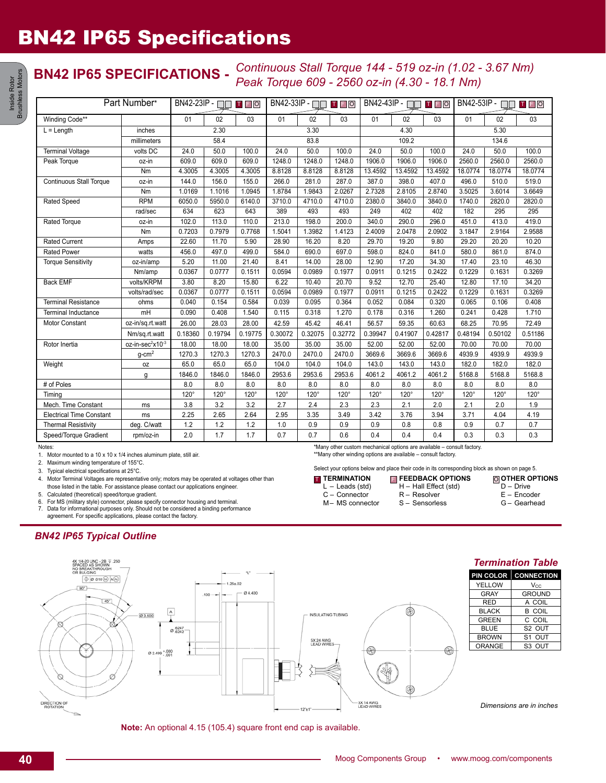# BN42 IP65 Specifications

### **BN42 IP65 SPECIFICATIONS -** *Continuous Stall Torque 144 - 519 oz-in (1.02 - 3.67 Nm) Peak Torque 609 - 2560 oz-in (4.30 - 18.1 Nm)*

| Part Number*                    |                              | BN42-23IP - □□ Ⅱ E O |         |             | $BN42-33IP - \square$<br>TFO |             |             | $BN42-43IP - \Box$<br>TFO |             |             | BN42-53IP - $\Box$<br><b>TFO</b> |             |         |
|---------------------------------|------------------------------|----------------------|---------|-------------|------------------------------|-------------|-------------|---------------------------|-------------|-------------|----------------------------------|-------------|---------|
| Winding Code**                  |                              | 01                   | 02      | 03          | 01                           | 02          | 03          | 01                        | 02          | 03          | 01                               | 02          | 03      |
| $L =$ Length                    | inches                       | 2.30                 |         | 3.30        |                              |             | 4.30        |                           |             | 5.30        |                                  |             |         |
|                                 | millimeters                  | 58.4                 |         |             | 83.8                         |             |             | 109.2                     |             |             | 134.6                            |             |         |
| <b>Terminal Voltage</b>         | volts DC                     | 24.0                 | 50.0    | 100.0       | 24.0                         | 50.0        | 100.0       | 24.0                      | 50.0        | 100.0       | 24.0                             | 50.0        | 100.0   |
| Peak Torque                     | oz-in                        | 609.0                | 609.0   | 609.0       | 1248.0                       | 1248.0      | 1248.0      | 1906.0                    | 1906.0      | 1906.0      | 2560.0                           | 2560.0      | 2560.0  |
|                                 | Nm                           | 4.3005               | 4.3005  | 4.3005      | 8.8128                       | 8.8128      | 8.8128      | 13.4592                   | 13.4592     | 13.4592     | 18.0774                          | 18.0774     | 18.0774 |
| <b>Continuous Stall Torque</b>  | oz-in                        | 144.0                | 156.0   | 155.0       | 266.0                        | 281.0       | 287.0       | 387.0                     | 398.0       | 407.0       | 496.0                            | 510.0       | 519.0   |
|                                 | Nm                           | 1.0169               | 1.1016  | 1.0945      | 1.8784                       | 1.9843      | 2.0267      | 2.7328                    | 2.8105      | 2.8740      | 3.5025                           | 3.6014      | 3.6649  |
| <b>Rated Speed</b>              | <b>RPM</b>                   | 6050.0               | 5950.0  | 6140.0      | 3710.0                       | 4710.0      | 4710.0      | 2380.0                    | 3840.0      | 3840.0      | 1740.0                           | 2820.0      | 2820.0  |
|                                 | rad/sec                      | 634                  | 623     | 643         | 389                          | 493         | 493         | 249                       | 402         | 402         | 182                              | 295         | 295     |
| <b>Rated Torque</b>             | oz-in                        | 102.0                | 113.0   | 110.0       | 213.0                        | 198.0       | 200.0       | 340.0                     | 290.0       | 296.0       | 451.0                            | 413.0       | 419.0   |
|                                 | Nm                           | 0.7203               | 0.7979  | 0.7768      | 1.5041                       | 1.3982      | 1.4123      | 2.4009                    | 2.0478      | 2.0902      | 3.1847                           | 2.9164      | 2.9588  |
| <b>Rated Current</b>            | Amps                         | 22.60                | 11.70   | 5.90        | 28.90                        | 16.20       | 8.20        | 29.70                     | 19.20       | 9.80        | 29.20                            | 20.20       | 10.20   |
| <b>Rated Power</b>              | watts                        | 456.0                | 497.0   | 499.0       | 584.0                        | 690.0       | 697.0       | 598.0                     | 824.0       | 841.0       | 580.0                            | 861.0       | 874.0   |
| <b>Torque Sensitivity</b>       | oz-in/amp                    | 5.20                 | 11.00   | 21.40       | 8.41                         | 14.00       | 28.00       | 12.90                     | 17.20       | 34.30       | 17.40                            | 23.10       | 46.30   |
|                                 | Nm/amp                       | 0.0367               | 0.0777  | 0.1511      | 0.0594                       | 0.0989      | 0.1977      | 0.0911                    | 0.1215      | 0.2422      | 0.1229                           | 0.1631      | 0.3269  |
| <b>Back EMF</b>                 | volts/KRPM                   | 3.80                 | 8.20    | 15.80       | 6.22                         | 10.40       | 20.70       | 9.52                      | 12.70       | 25.40       | 12.80                            | 17.10       | 34.20   |
|                                 | volts/rad/sec                | 0.0367               | 0.0777  | 0.1511      | 0.0594                       | 0.0989      | 0.1977      | 0.0911                    | 0.1215      | 0.2422      | 0.1229                           | 0.1631      | 0.3269  |
| <b>Terminal Resistance</b>      | ohms                         | 0.040                | 0.154   | 0.584       | 0.039                        | 0.095       | 0.364       | 0.052                     | 0.084       | 0.320       | 0.065                            | 0.106       | 0.408   |
| <b>Terminal Inductance</b>      | mH                           | 0.090                | 0.408   | 1.540       | 0.115                        | 0.318       | 1.270       | 0.178                     | 0.316       | 1.260       | 0.241                            | 0.428       | 1.710   |
| Motor Constant                  | oz-in/sq.rt.watt             | 26.00                | 28.03   | 28.00       | 42.59                        | 45.42       | 46.41       | 56.57                     | 59.35       | 60.63       | 68.25                            | 70.95       | 72.49   |
|                                 | Nm/sq.rt.watt                | 0.18360              | 0.19794 | 0.19775     | 0.30072                      | 0.32075     | 0.32772     | 0.39947                   | 0.41907     | 0.42817     | 0.48194                          | 0.50102     | 0.51186 |
| Rotor Inertia                   | oz-in-sec <sup>2</sup> x10-3 | 18.00                | 18.00   | 18.00       | 35.00                        | 35.00       | 35.00       | 52.00                     | 52.00       | 52.00       | 70.00                            | 70.00       | 70.00   |
|                                 | $g$ -cm $^2$                 | 1270.3               | 1270.3  | 1270.3      | 2470.0                       | 2470.0      | 2470.0      | 3669.6                    | 3669.6      | 3669.6      | 4939.9                           | 4939.9      | 4939.9  |
| Weight                          | 0Z                           | 65.0                 | 65.0    | 65.0        | 104.0                        | 104.0       | 104.0       | 143.0                     | 143.0       | 143.0       | 182.0                            | 182.0       | 182.0   |
|                                 | g                            | 1846.0               | 1846.0  | 1846.0      | 2953.6                       | 2953.6      | 2953.6      | 4061.2                    | 4061.2      | 4061.2      | 5168.8                           | 5168.8      | 5168.8  |
| # of Poles                      |                              | 8.0                  | 8.0     | 8.0         | 8.0                          | 8.0         | 8.0         | 8.0                       | 8.0         | 8.0         | 8.0                              | 8.0         | 8.0     |
| Timing                          |                              | 120°                 | 120°    | $120^\circ$ | $120^\circ$                  | $120^\circ$ | $120^\circ$ | $120^\circ$               | $120^\circ$ | $120^\circ$ | 120°                             | $120^\circ$ | 120°    |
| Mech. Time Constant             | ms                           | 3.8                  | 3.2     | 3.2         | 2.7                          | 2.4         | 2.3         | 2.3                       | 2.1         | 2.0         | 2.1                              | 2.0         | 1.9     |
| <b>Electrical Time Constant</b> | ms                           | 2.25                 | 2.65    | 2.64        | 2.95                         | 3.35        | 3.49        | 3.42                      | 3.76        | 3.94        | 3.71                             | 4.04        | 4.19    |
| <b>Thermal Resistivity</b>      | deg. C/watt                  | 1.2                  | 1.2     | 1.2         | 1.0                          | 0.9         | 0.9         | 0.9                       | 0.8         | 0.8         | 0.9                              | 0.7         | 0.7     |
| Speed/Torque Gradient           | rpm/oz-in                    | 2.0                  | 1.7     | 1.7         | 0.7                          | 0.7         | 0.6         | 0.4                       | 0.4         | 0.4         | 0.3                              | 0.3         | 0.3     |

Notes:

1. Motor mounted to a 10 x 10 x 1/4 inches aluminum plate, still air.

2. Maximum winding temperature of 155°C.

3. Typical electrical specifications at 25°C.

4. Motor Terminal Voltages are representative only; motors may be operated at voltages other than those listed in the table. For assistance please contact our applications engineer.

5. Calculated (theoretical) speed/torque gradient.

6. For MS (military style) connector, please specify connector housing and terminal. 7. Data for informational purposes only. Should not be considered a binding performance agreement. For specific applications, please contact the factory.

### *BN42 IP65 Typical Outline*



**Note:** An optional 4.15 (105.4) square front end cap is available.

\*Many other custom mechanical options are available – consult factory. \*\*Many other winding options are available – consult factory.

Select your options below and place their code in its corresponding block as shown on page 5.

H – Hall Effect (std)

**T** TERMINATION L – Leads (std) **FEEDBACK OPTIONS** T F O

- C Connector
- M– MS connector

**OTHER OPTIONS** D – Drive

- R Resolver S – Sensorless
- E Encoder

G – Gearhead

A COIL

S1 OUT

*Dimensions are in inches*